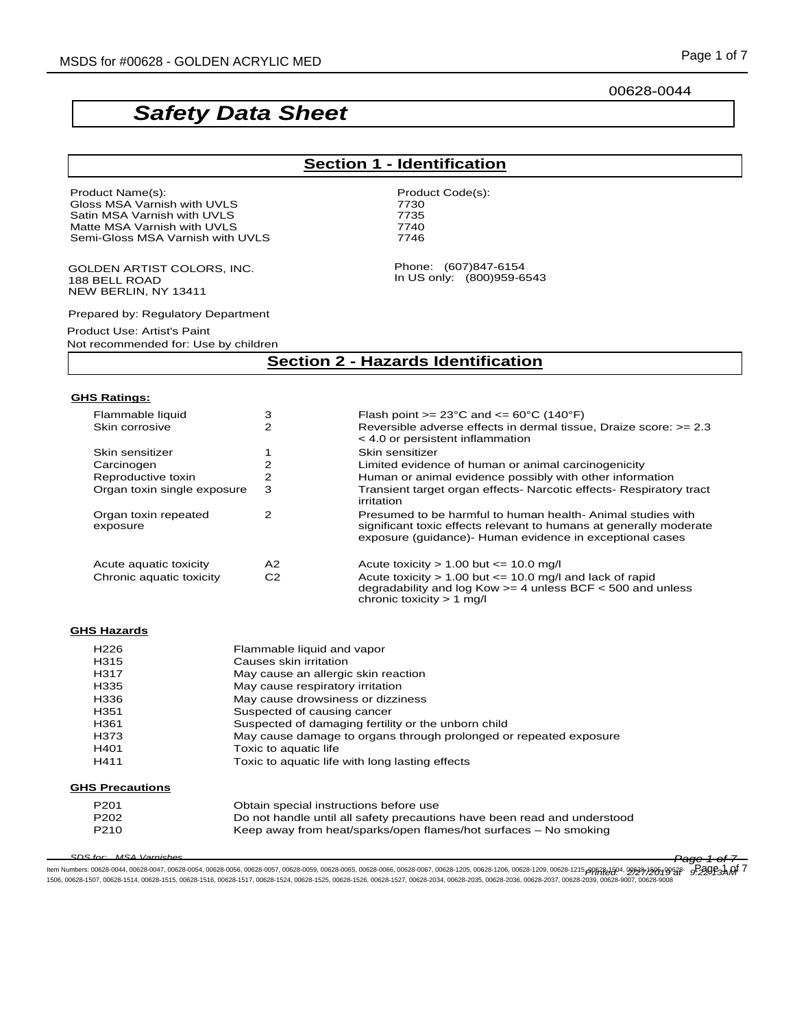00628-0044

# *Safety Data Sheet*

# **Section 1 - Identification**

Phone: (607)847-6154 In US only: (800)959-6543

Product Name(s): example and the example of the Product Code(s): Gloss MSA Varnish with UVLS **Fig. 1988** 7730 Satin MSA Varnish with UVLS 7735 Matte MSA Varnish with UVLS<br>
Semi-Gloss MSA Varnish with UVLS 7746 Semi-Gloss MSA Varnish with UVLS

GOLDEN ARTIST COLORS, INC. 188 BELL ROAD NEW BERLIN, NY 13411

Prepared by: Regulatory Department

Product Use: Artist's Paint

Not recommended for: Use by children

# **Section 2 - Hazards Identification**

#### **GHS Ratings:**

| Flammable liquid                 | з              | Flash point $>= 23^{\circ}$ C and $<= 60^{\circ}$ C (140 $^{\circ}$ F)                                                                                                                        |
|----------------------------------|----------------|-----------------------------------------------------------------------------------------------------------------------------------------------------------------------------------------------|
| Skin corrosive                   | 2              | Reversible adverse effects in dermal tissue. Draize score: $>= 2.3$<br>$<$ 4.0 or persistent inflammation                                                                                     |
| Skin sensitizer                  |                | Skin sensitizer                                                                                                                                                                               |
| Carcinogen                       |                | Limited evidence of human or animal carcinogenicity                                                                                                                                           |
| Reproductive toxin               | 2              | Human or animal evidence possibly with other information                                                                                                                                      |
| Organ toxin single exposure      | 3              | Transient target organ effects- Narcotic effects- Respiratory tract<br>irritation                                                                                                             |
| Organ toxin repeated<br>exposure | 2              | Presumed to be harmful to human health- Animal studies with<br>significant toxic effects relevant to humans at generally moderate<br>exposure (guidance)- Human evidence in exceptional cases |
| Acute aquatic toxicity           | A <sub>2</sub> | Acute toxicity $> 1.00$ but $\leq 10.0$ mg/l                                                                                                                                                  |
| Chronic aquatic toxicity         | C <sub>2</sub> | Acute toxicity $> 1.00$ but $\leq 10.0$ mg/l and lack of rapid<br>degradability and log Kow $>=$ 4 unless BCF $<$ 500 and unless<br>chronic toxicity $> 1$ mg/l                               |

#### **GHS Hazards**

| H226                   | Flammable liquid and vapor                                               |
|------------------------|--------------------------------------------------------------------------|
| H315                   | Causes skin irritation                                                   |
| H317                   | May cause an allergic skin reaction                                      |
| H335                   | May cause respiratory irritation                                         |
| H336                   | May cause drowsiness or dizziness                                        |
| H <sub>351</sub>       | Suspected of causing cancer                                              |
| H <sub>361</sub>       | Suspected of damaging fertility or the unborn child                      |
| H373                   | May cause damage to organs through prolonged or repeated exposure        |
| H401                   | Toxic to aquatic life                                                    |
| H411                   | Toxic to aquatic life with long lasting effects                          |
| <b>GHS Precautions</b> |                                                                          |
| P <sub>201</sub>       | Obtain special instructions before use                                   |
| P <sub>202</sub>       | Do not handle until all safety precautions have been read and understood |
| P <sub>210</sub>       | Keep away from heat/sparks/open flames/hot surfaces – No smoking         |

*SDS for: MSA Varnishes Page 1 of 7*

ltem Numbers: 00628-0044, 00628-0047, 00628-0054, 00628-0056, 00628-0057, 00628-0056, 00628-0065, 00628-0066, 00628-0067, 00628-1205, 00628-1206, 00628-1209, 00628-1215, 00628-1215, 00628-1215, 00628-1215, 00628-1215, 0062 1506, 00628-1507, 00628-1514, 00628-1515, 00628-1516, 00628-1517, 00628-1524, 00628-1525, 00628-1526, 00628-1527, 00628-2034, 00628-2035, 00628-2036, 00628-2037, 00628-2039, 00628-9007, 00628-9008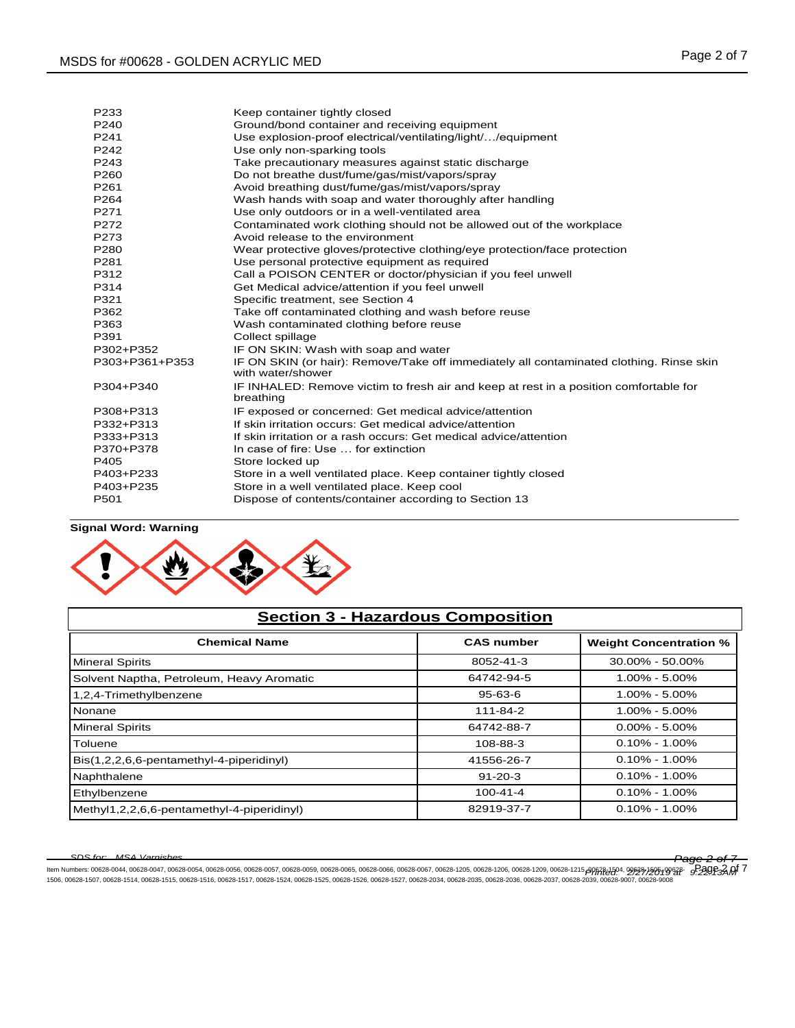| P233             | Keep container tightly closed                                                                                |
|------------------|--------------------------------------------------------------------------------------------------------------|
| P240             | Ground/bond container and receiving equipment                                                                |
| P241             | Use explosion-proof electrical/ventilating/light//equipment                                                  |
| P <sub>242</sub> | Use only non-sparking tools                                                                                  |
| P243             | Take precautionary measures against static discharge                                                         |
| P260             | Do not breathe dust/fume/gas/mist/vapors/spray                                                               |
| P261             | Avoid breathing dust/fume/gas/mist/vapors/spray                                                              |
| P <sub>264</sub> | Wash hands with soap and water thoroughly after handling                                                     |
| P271             | Use only outdoors or in a well-ventilated area                                                               |
| P272             | Contaminated work clothing should not be allowed out of the workplace                                        |
| P273             | Avoid release to the environment                                                                             |
| P280             | Wear protective gloves/protective clothing/eye protection/face protection                                    |
| P281             | Use personal protective equipment as required                                                                |
| P312             | Call a POISON CENTER or doctor/physician if you feel unwell                                                  |
| P314             | Get Medical advice/attention if you feel unwell                                                              |
| P321             | Specific treatment, see Section 4                                                                            |
| P362             | Take off contaminated clothing and wash before reuse                                                         |
| P363             | Wash contaminated clothing before reuse                                                                      |
| P391             | Collect spillage                                                                                             |
| P302+P352        | IF ON SKIN: Wash with soap and water                                                                         |
| P303+P361+P353   | IF ON SKIN (or hair): Remove/Take off immediately all contaminated clothing. Rinse skin<br>with water/shower |
| P304+P340        | IF INHALED: Remove victim to fresh air and keep at rest in a position comfortable for<br>breathing           |
| P308+P313        | IF exposed or concerned: Get medical advice/attention                                                        |
| P332+P313        | If skin irritation occurs: Get medical advice/attention                                                      |
| P333+P313        | If skin irritation or a rash occurs: Get medical advice/attention                                            |
| P370+P378        | In case of fire: Use  for extinction                                                                         |
| P405             | Store locked up                                                                                              |
| P403+P233        | Store in a well ventilated place. Keep container tightly closed                                              |
| P403+P235        | Store in a well ventilated place. Keep cool                                                                  |
| P501             | Dispose of contents/container according to Section 13                                                        |
|                  |                                                                                                              |

## **Signal Word: Warning**



| <b>Section 3 - Hazardous Composition</b>   |                   |                               |  |  |
|--------------------------------------------|-------------------|-------------------------------|--|--|
| <b>Chemical Name</b>                       | <b>CAS number</b> | <b>Weight Concentration %</b> |  |  |
| Mineral Spirits                            | 8052-41-3         | $30.00\% - 50.00\%$           |  |  |
| Solvent Naptha, Petroleum, Heavy Aromatic  | 64742-94-5        | $1.00\% - 5.00\%$             |  |  |
| 1,2,4-Trimethylbenzene                     | $95 - 63 - 6$     | $1.00\% - 5.00\%$             |  |  |
| <b>Nonane</b>                              | 111-84-2          | $1.00\% - 5.00\%$             |  |  |
| <b>Mineral Spirits</b>                     | 64742-88-7        | $0.00\% - 5.00\%$             |  |  |
| Toluene                                    | 108-88-3          | $0.10\% - 1.00\%$             |  |  |
| Bis(1,2,2,6,6-pentamethyl-4-piperidinyl)   | 41556-26-7        | $0.10\% - 1.00\%$             |  |  |
| Naphthalene                                | $91 - 20 - 3$     | $0.10\% - 1.00\%$             |  |  |
| Ethylbenzene                               | $100 - 41 - 4$    | $0.10\% - 1.00\%$             |  |  |
| Methyl1,2,2,6,6-pentamethyl-4-piperidinyl) | 82919-37-7        | $0.10\% - 1.00\%$             |  |  |

# *SDS for: MSA Varnishes Page 2 of 7* ltem Numbers: 00628-0044, 00628-0047, 00628-0054, 00628-0056, 00628-0057, 00628-0056, 00628-0066, 00628-0066, 00628-0067, 00628-1205, 00628-1206, 00628-1209, 00628-1215, 00628-1215, 00628-3145, 00628-1215, 00628-354, 00628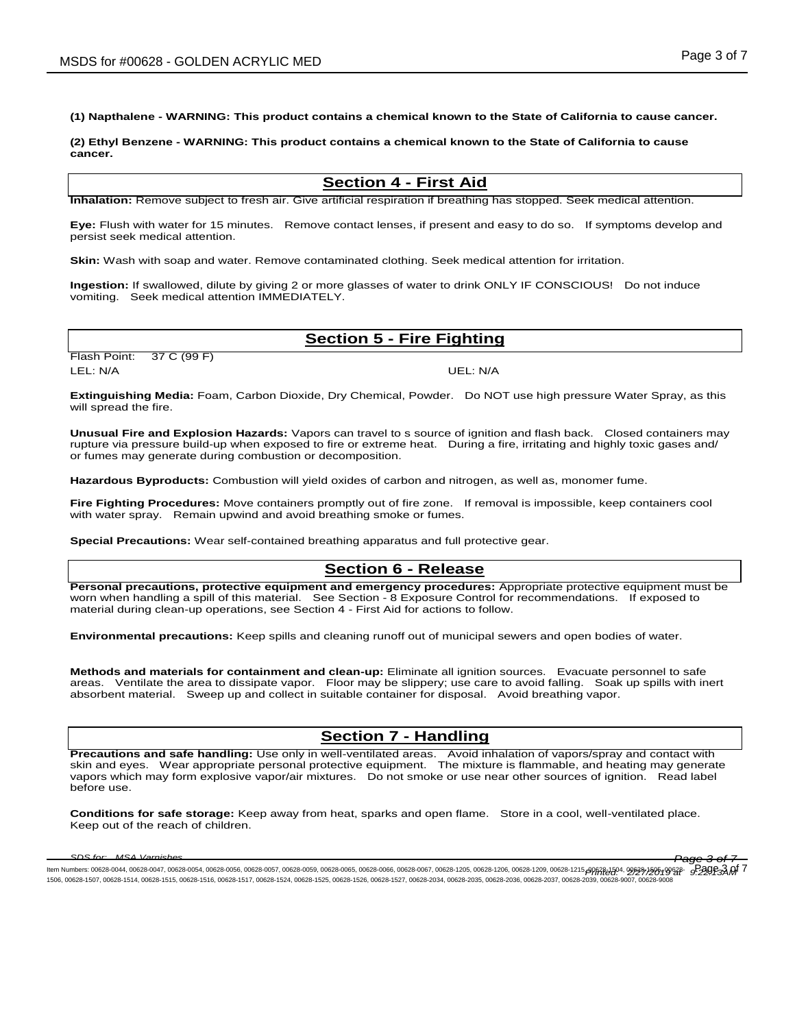**(1) Napthalene - WARNING: This product contains a chemical known to the State of California to cause cancer.** 

**(2) Ethyl Benzene - WARNING: This product contains a chemical known to the State of California to cause cancer.** 

## **Section 4 - First Aid**

**Inhalation:** Remove subject to fresh air. Give artificial respiration if breathing has stopped. Seek medical attention.

**Eye:** Flush with water for 15 minutes. Remove contact lenses, if present and easy to do so. If symptoms develop and persist seek medical attention.

**Skin:** Wash with soap and water. Remove contaminated clothing. Seek medical attention for irritation.

**Ingestion:** If swallowed, dilute by giving 2 or more glasses of water to drink ONLY IF CONSCIOUS! Do not induce vomiting. Seek medical attention IMMEDIATELY.

## **Section 5 - Fire Fighting**

Flash Point: 37 C (99 F) LEL: N/A UEL: N/A

**Extinguishing Media:** Foam, Carbon Dioxide, Dry Chemical, Powder. Do NOT use high pressure Water Spray, as this will spread the fire.

**Unusual Fire and Explosion Hazards:** Vapors can travel to s source of ignition and flash back. Closed containers may rupture via pressure build-up when exposed to fire or extreme heat. During a fire, irritating and highly toxic gases and/ or fumes may generate during combustion or decomposition.

**Hazardous Byproducts:** Combustion will yield oxides of carbon and nitrogen, as well as, monomer fume.

**Fire Fighting Procedures:** Move containers promptly out of fire zone. If removal is impossible, keep containers cool with water spray. Remain upwind and avoid breathing smoke or fumes.

**Special Precautions:** Wear self-contained breathing apparatus and full protective gear.

## **Section 6 - Release**

**Personal precautions, protective equipment and emergency procedures:** Appropriate protective equipment must be worn when handling a spill of this material. See Section - 8 Exposure Control for recommendations. If exposed to material during clean-up operations, see Section 4 - First Aid for actions to follow.

**Environmental precautions:** Keep spills and cleaning runoff out of municipal sewers and open bodies of water.

**Methods and materials for containment and clean-up:** Eliminate all ignition sources. Evacuate personnel to safe areas. Ventilate the area to dissipate vapor. Floor may be slippery; use care to avoid falling. Soak up spills with inert absorbent material. Sweep up and collect in suitable container for disposal. Avoid breathing vapor.

# **Section 7 - Handling**

**Precautions and safe handling:** Use only in well-ventilated areas. Avoid inhalation of vapors/spray and contact with skin and eyes. Wear appropriate personal protective equipment. The mixture is flammable, and heating may generate vapors which may form explosive vapor/air mixtures. Do not smoke or use near other sources of ignition. Read label before use.

**Conditions for safe storage:** Keep away from heat, sparks and open flame. Store in a cool, well-ventilated place. Keep out of the reach of children.

*SDS for: MSA Varnishes Page 3 of 7* ltem Numbers: 00628-0044, 00628-0047, 00628-0054, 00628-0056, 00628-0057, 00628-0056, 00628-0065, 00628-0066, 00628-0067, 00628-1205, 00628-1206, 00628-1209, 00628-1215, 00628-1215, 00628-1215, 00628-1215, 00628-1215, 0062 1506, 00628-1507, 00628-1514, 00628-1515, 00628-1516, 00628-1517, 00628-1524, 00628-1525, 00628-1526, 00628-1527, 00628-2034, 00628-2035, 00628-2036, 00628-2037, 00628-2039, 00628-9007, 00628-9008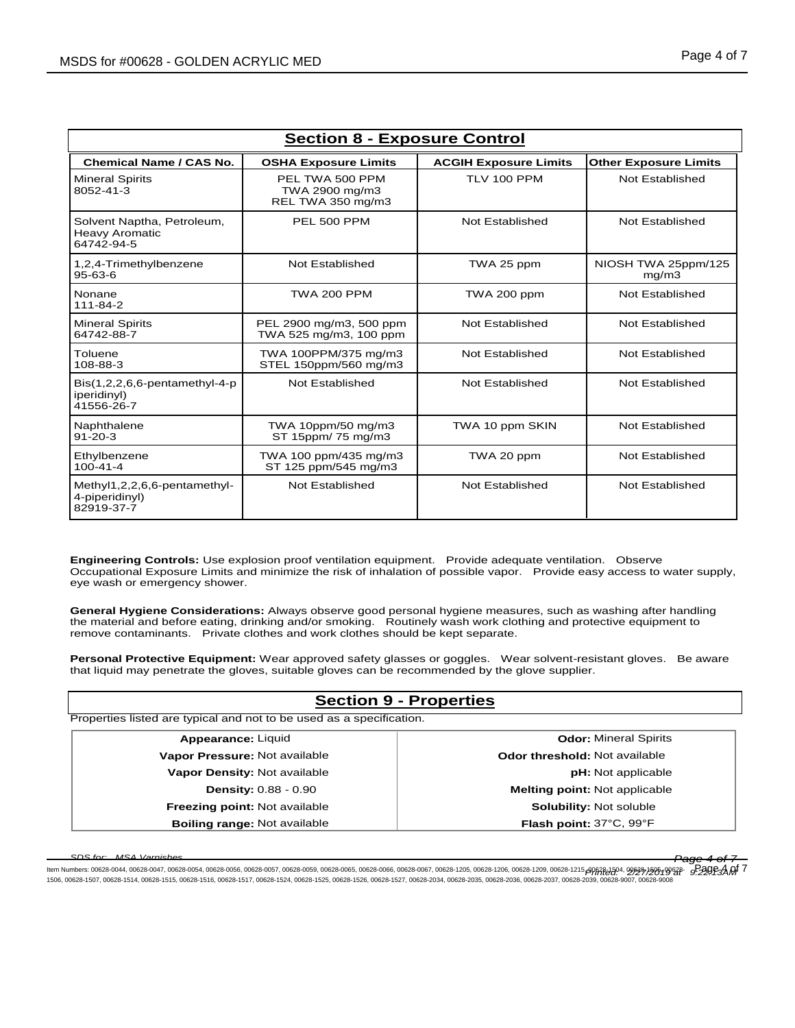| <b>Section 8 - Exposure Control</b>                               |                                                        |                              |                              |  |  |  |
|-------------------------------------------------------------------|--------------------------------------------------------|------------------------------|------------------------------|--|--|--|
| <b>Chemical Name / CAS No.</b>                                    | <b>OSHA Exposure Limits</b>                            | <b>ACGIH Exposure Limits</b> | <b>Other Exposure Limits</b> |  |  |  |
| <b>Mineral Spirits</b><br>8052-41-3                               | PEL TWA 500 PPM<br>TWA 2900 mg/m3<br>REL TWA 350 mg/m3 | TLV 100 PPM                  | Not Established              |  |  |  |
| Solvent Naptha, Petroleum,<br><b>Heavy Aromatic</b><br>64742-94-5 | PEL 500 PPM                                            | Not Established              | Not Established              |  |  |  |
| 1,2,4-Trimethylbenzene<br>95-63-6                                 | Not Established                                        | TWA 25 ppm                   | NIOSH TWA 25ppm/125<br>mg/m3 |  |  |  |
| Nonane<br>111-84-2                                                | <b>TWA 200 PPM</b>                                     | TWA 200 ppm                  | <b>Not Established</b>       |  |  |  |
| <b>Mineral Spirits</b><br>64742-88-7                              | PEL 2900 mg/m3, 500 ppm<br>TWA 525 mg/m3, 100 ppm      | Not Established              | Not Established              |  |  |  |
| Toluene<br>108-88-3                                               | TWA 100PPM/375 mg/m3<br>STEL 150ppm/560 mg/m3          | Not Established              | Not Established              |  |  |  |
| $Bis(1,2,2,6,6-pentamentlyl-4-p)$<br>iperidinyl)<br>41556-26-7    | Not Established                                        | Not Established              | Not Established              |  |  |  |
| Naphthalene<br>$91 - 20 - 3$                                      | TWA 10ppm/50 mg/m3<br>ST 15ppm/ 75 mg/m3               | TWA 10 ppm SKIN              | Not Established              |  |  |  |
| Ethylbenzene<br>$100 - 41 - 4$                                    | TWA 100 ppm/435 mg/m3<br>ST 125 ppm/545 mg/m3          | TWA 20 ppm                   | Not Established              |  |  |  |
| Methyl1,2,2,6,6-pentamethyl-<br>4-piperidinyl)<br>82919-37-7      | Not Established                                        | Not Established              | Not Established              |  |  |  |

**Engineering Controls:** Use explosion proof ventilation equipment. Provide adequate ventilation. Observe Occupational Exposure Limits and minimize the risk of inhalation of possible vapor. Provide easy access to water supply, eye wash or emergency shower.

**General Hygiene Considerations:** Always observe good personal hygiene measures, such as washing after handling the material and before eating, drinking and/or smoking. Routinely wash work clothing and protective equipment to remove contaminants. Private clothes and work clothes should be kept separate.

**Personal Protective Equipment:** Wear approved safety glasses or goggles. Wear solvent-resistant gloves. Be aware that liquid may penetrate the gloves, suitable gloves can be recommended by the glove supplier.

| <b>Section 9 - Properties</b>                                        |                                      |  |  |  |
|----------------------------------------------------------------------|--------------------------------------|--|--|--|
| Properties listed are typical and not to be used as a specification. |                                      |  |  |  |
| Appearance: Liquid                                                   | <b>Odor: Mineral Spirits</b>         |  |  |  |
| Vapor Pressure: Not available                                        | <b>Odor threshold: Not available</b> |  |  |  |
| Vapor Density: Not available                                         | <b>pH:</b> Not applicable            |  |  |  |
| <b>Density: 0.88 - 0.90</b>                                          | <b>Melting point:</b> Not applicable |  |  |  |
| Freezing point: Not available                                        | Solubility: Not soluble              |  |  |  |
| <b>Boiling range: Not available</b><br>Flash point: 37°C, 99°F       |                                      |  |  |  |

*SDS for: MSA Varnishes Page 4 of 7* ltem Numbers: 00628-0044, 00628-0047, 00628-0054, 00628-0056, 00628-0057, 00628-0056, 00628-0065, 00628-0066, 00628-0067, 00628-1205, 00628-1206, 00628-1209, 00628-1215, 00628-1215, 00628-1215, 00628-1215, 00628-1215, 0062 1506, 00628-1507, 00628-1514, 00628-1515, 00628-1516, 00628-1517, 00628-1524, 00628-1525, 00628-1526, 00628-1527, 00628-2034, 00628-2035, 00628-2036, 00628-2037, 00628-2039, 00628-9007, 00628-9008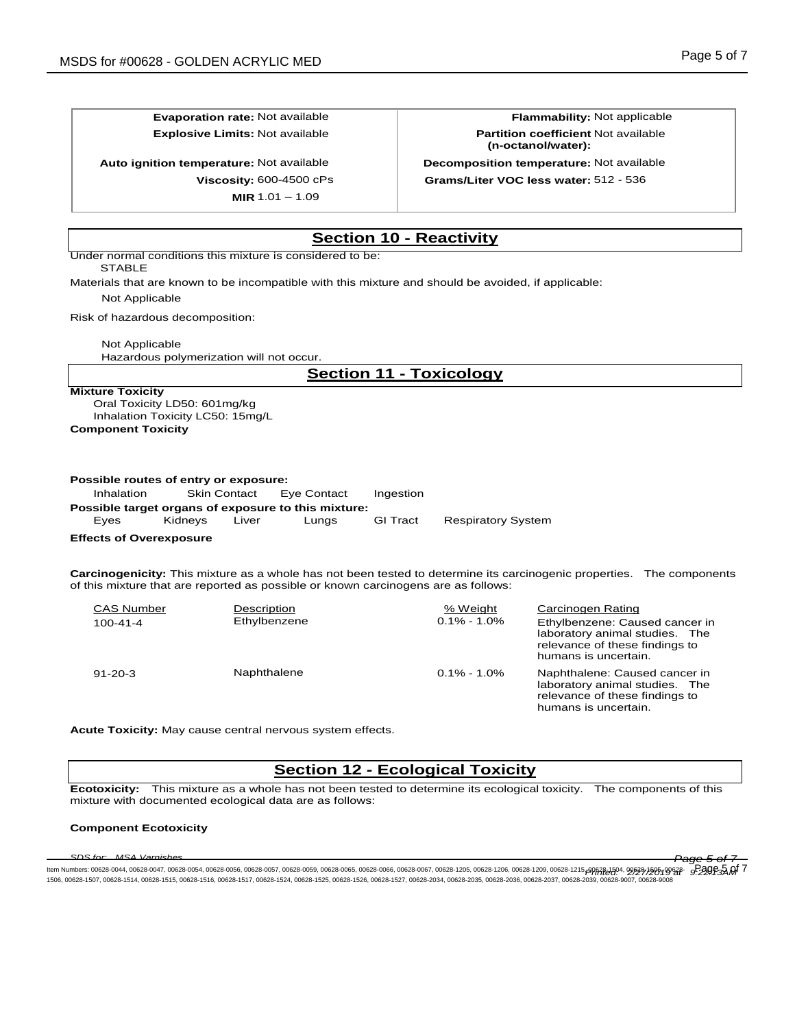**Evaporation rate:** Not available **Flammability:** Not applicable

**Auto ignition temperature:** Not available **Decomposition temperature:** Not available

**MIR** 1.01 – 1.09

**Explosive Limits:** Not available **Partition coefficient** Not available **(n-octanol/water):**

**Viscosity:** 600-4500 cPs **Grams/Liter VOC less water:** 512 - 536

# **Section 10 - Reactivity**

Under normal conditions this mixture is considered to be:

STABLE

Materials that are known to be incompatible with this mixture and should be avoided, if applicable:

Not Applicable

Risk of hazardous decomposition:

Not Applicable

Hazardous polymerization will not occur.

# **Section 11 - Toxicology**

## **Mixture Toxicity**

Oral Toxicity LD50: 601mg/kg Inhalation Toxicity LC50: 15mg/L **Component Toxicity**

#### **Possible routes of entry or exposure:**

| Inhalation | <b>Skin Contact</b> |       | Eve Contact                                         | Ingestion       |                           |
|------------|---------------------|-------|-----------------------------------------------------|-----------------|---------------------------|
|            |                     |       | Possible target organs of exposure to this mixture: |                 |                           |
| Eves       | Kidnevs             | Liver | Lunas                                               | <b>GI</b> Tract | <b>Respiratory System</b> |

## **Effects of Overexposure**

**Carcinogenicity:** This mixture as a whole has not been tested to determine its carcinogenic properties. The components of this mixture that are reported as possible or known carcinogens are as follows:

| <b>CAS Number</b> | Description  | % Weight        | Carcinogen Rating                                                                                                          |
|-------------------|--------------|-----------------|----------------------------------------------------------------------------------------------------------------------------|
| $100 - 41 - 4$    | Ethylbenzene | $0.1\% - 1.0\%$ | Ethylbenzene: Caused cancer in<br>laboratory animal studies. The<br>relevance of these findings to<br>humans is uncertain. |
| $91 - 20 - 3$     | Naphthalene  | $0.1\% - 1.0\%$ | Naphthalene: Caused cancer in<br>laboratory animal studies. The<br>relevance of these findings to<br>humans is uncertain   |

**Acute Toxicity:** May cause central nervous system effects.

# **Section 12 - Ecological Toxicity**

**Ecotoxicity:** This mixture as a whole has not been tested to determine its ecological toxicity. The components of this mixture with documented ecological data are as follows:

## **Component Ecotoxicity**

*SDS for: MSA Varnishes Page 5 of 7* ltem Numbers: 00628-0044, 00628-0047, 00628-0054, 00628-0056, 00628-0057, 00628-0056, 00628-0065, 00628-0066, 00628-0067, 00628-1205, 00628-1206, 00628-1209, 00628-1215, 00628-1215, 00628-1215, 00628-1215, 00628-1215, 0062 1506, 00628-1507, 00628-1514, 00628-1515, 00628-1516, 00628-1517, 00628-1524, 00628-1525, 00628-1526, 00628-1527, 00628-2034, 00628-2035, 00628-2036, 00628-2037, 00628-2039, 00628-9007, 00628-9008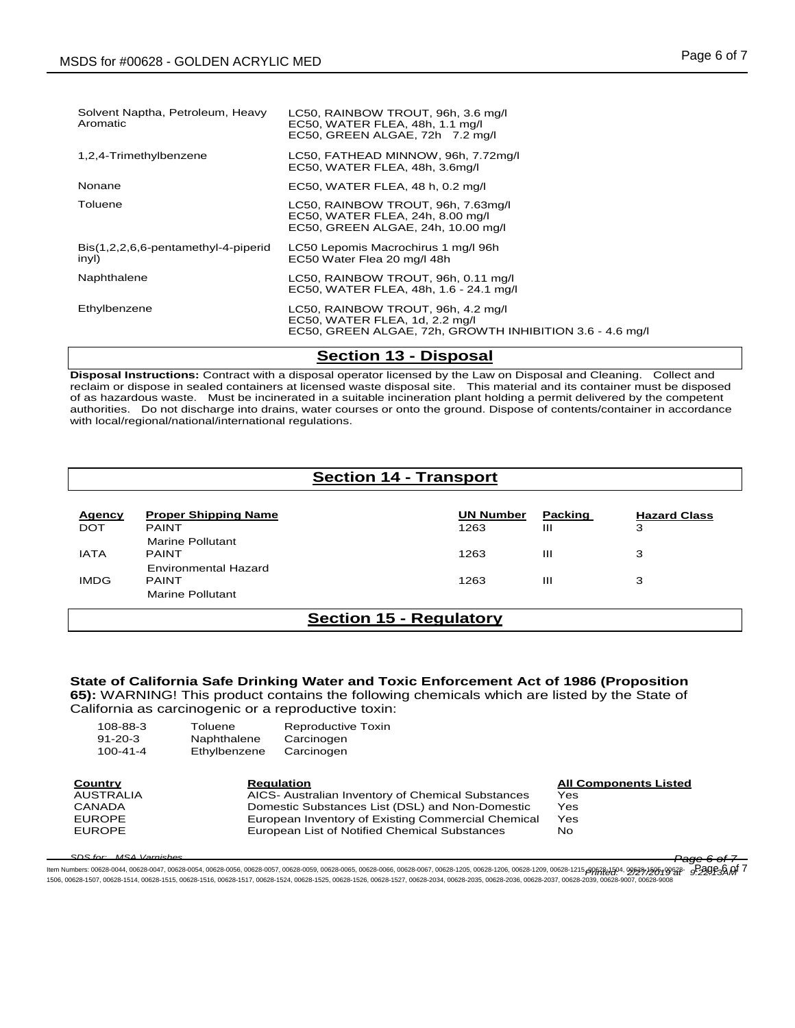| Solvent Naptha, Petroleum, Heavy<br>Aromatic | LC50, RAINBOW TROUT, 96h, 3.6 mg/l<br>EC50, WATER FLEA, 48h, 1.1 mg/l<br>EC50, GREEN ALGAE, 72h 7.2 mg/l                         |
|----------------------------------------------|----------------------------------------------------------------------------------------------------------------------------------|
| 1,2,4-Trimethylbenzene                       | LC50, FATHEAD MINNOW, 96h, 7.72mg/l<br>EC50, WATER FLEA, 48h, 3.6mg/l                                                            |
| Nonane                                       | EC50, WATER FLEA, 48 h, 0.2 mg/l                                                                                                 |
| Toluene                                      | LC50, RAINBOW TROUT, 96h, 7.63mg/l<br>EC50, WATER FLEA, 24h, 8.00 mg/l<br>EC50, GREEN ALGAE, 24h, 10.00 mg/l                     |
| Bis(1,2,2,6,6-pentamethyl-4-piperid<br>inyl) | LC50 Lepomis Macrochirus 1 mg/l 96h<br>EC50 Water Flea 20 mg/l 48h                                                               |
| Naphthalene                                  | LC50, RAINBOW TROUT, 96h, 0.11 mg/l<br>EC50, WATER FLEA, 48h, 1.6 - 24.1 mg/l                                                    |
| Ethylbenzene                                 | LC50, RAINBOW TROUT, 96h, 4.2 mg/l<br>EC50, WATER FLEA, 1d, 2.2 mg/l<br>EC50, GREEN ALGAE, 72h, GROWTH INHIBITION 3.6 - 4.6 mg/l |

## **Section 13 - Disposal**

**Disposal Instructions:** Contract with a disposal operator licensed by the Law on Disposal and Cleaning. Collect and reclaim or dispose in sealed containers at licensed waste disposal site. This material and its container must be disposed of as hazardous waste. Must be incinerated in a suitable incineration plant holding a permit delivered by the competent authorities. Do not discharge into drains, water courses or onto the ground. Dispose of contents/container in accordance with local/regional/national/international regulations.

# **Section 14 - Transport**

| <b>Agency</b><br><b>DOT</b> | <b>Proper Shipping Name</b><br><b>PAINT</b> | <b>UN Number</b><br>1263 | Packing<br>ш | <b>Hazard Class</b><br>3 |  |
|-----------------------------|---------------------------------------------|--------------------------|--------------|--------------------------|--|
| <b>IATA</b>                 | <b>Marine Pollutant</b><br><b>PAINT</b>     | 1263                     | ш            | 3                        |  |
| <b>IMDG</b>                 | Environmental Hazard<br><b>PAINT</b>        | 1263                     | Ш            | 3                        |  |
|                             | Marine Pollutant                            |                          |              |                          |  |
|                             | Soction 15 - Poquistory                     |                          |              |                          |  |

# **Section 15 - Regulatory**

## **State of California Safe Drinking Water and Toxic Enforcement Act of 1986 (Proposition 65):** WARNING! This product contains the following chemicals which are listed by the State of California as carcinogenic or a reproductive toxin:

| 108-88-3<br>$91 - 20 - 3$<br>$100 - 41 - 4$ | Toluene<br>Naphthalene<br>Ethylbenzene | Reproductive Toxin<br>Carcinogen<br>Carcinogen     |                              |
|---------------------------------------------|----------------------------------------|----------------------------------------------------|------------------------------|
| Country                                     |                                        | <b>Regulation</b>                                  | <b>All Components Listed</b> |
| AUSTRALIA                                   |                                        | AICS- Australian Inventory of Chemical Substances  | Yes                          |
| CANADA                                      |                                        | Domestic Substances List (DSL) and Non-Domestic    | Yes                          |
| <b>EUROPE</b>                               |                                        | European Inventory of Existing Commercial Chemical | Yes                          |
| <b>EUROPE</b>                               |                                        | European List of Notified Chemical Substances      | No.                          |
|                                             |                                        |                                                    |                              |

*SDS for: MSA Varnishes Page 6 of 7*

ltem Numbers: 00628-0044, 00628-0047, 00628-0054, 00628-0056, 00628-0057, 00628-0056, 00628-0065, 00628-0066, 00628-0067, 00628-1205, 00628-1206, 00628-1209, 00628-1215, 00628-1215, 00628-1215, 00628-1215, 00628-1215, 0062 1506, 00628-1507, 00628-1514, 00628-1515, 00628-1516, 00628-1517, 00628-1524, 00628-1525, 00628-1526, 00628-1527, 00628-2034, 00628-2035, 00628-2036, 00628-2037, 00628-2039, 00628-9007, 00628-9008